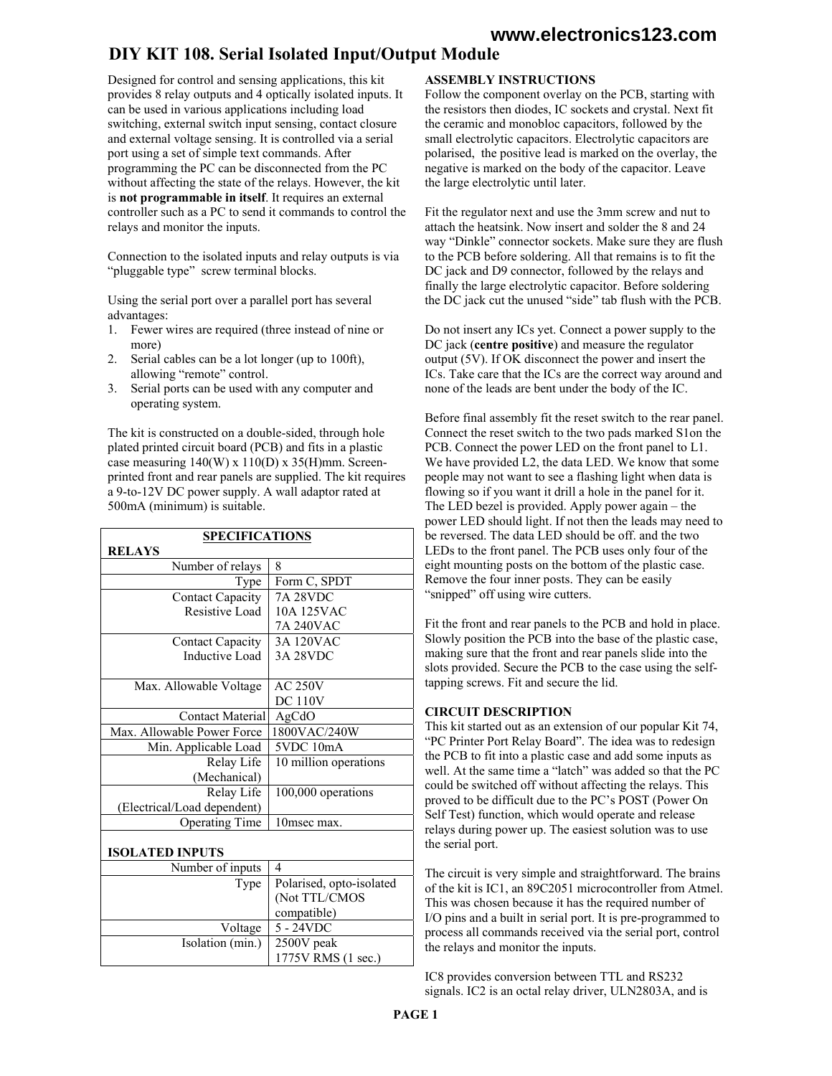# **www.electronics123.com**

# DIY KIT 108. Serial Isolated Input/Output Module

Designed for control and sensing applications, this kit provides 8 relay outputs and 4 optically isolated inputs. It can be used in various applications including load switching, external switch input sensing, contact closure and external voltage sensing. It is controlled via a serial port using a set of simple text commands. After programming the PC can be disconnected from the PC without affecting the state of the relays. However, the kit is **not programmable in itself**. It requires an external controller such as a PC to send it commands to control the relays and monitor the inputs.

Connection to the isolated inputs and relay outputs is via "pluggable type" screw terminal blocks.

Using the serial port over a parallel port has several advantages:

- 1. Fewer wires are required (three instead of nine or more)
- 2. Serial cables can be a lot longer (up to 100ft), allowing "remote" control.
- 3. Serial ports can be used with any computer and operating system.

The kit is constructed on a double-sided, through hole plated printed circuit board (PCB) and fits in a plastic case measuring 140(W) x 110(D) x 35(H)mm. Screenprinted front and rear panels are supplied. The kit requires a 9-to-12V DC power supply. A wall adaptor rated at 500mA (minimum) is suitable.

| <b>SPECIFICATIONS</b>       |                          |
|-----------------------------|--------------------------|
| <b>RELAYS</b>               |                          |
| Number of relays            | 8                        |
| Type                        | Form C, SPDT             |
| <b>Contact Capacity</b>     | <b>7A 28VDC</b>          |
| Resistive Load              | 10A 125VAC               |
|                             | 7A 240VAC                |
| <b>Contact Capacity</b>     | <b>3A 120VAC</b>         |
| Inductive Load              | <b>3A 28VDC</b>          |
|                             |                          |
| Max. Allowable Voltage      | <b>AC 250V</b>           |
|                             | <b>DC 110V</b>           |
| <b>Contact Material</b>     | AgCdO                    |
| Max. Allowable Power Force  | 1800VAC/240W             |
| Min. Applicable Load        | 5VDC 10mA                |
| Relay Life                  | 10 million operations    |
| (Mechanical)                |                          |
| Relay Life                  | 100,000 operations       |
| (Electrical/Load dependent) |                          |
| <b>Operating Time</b>       | 10msec max.              |
|                             |                          |
| <b>ISOLATED INPUTS</b>      |                          |
| Number of inputs            | 4                        |
| Type                        | Polarised, opto-isolated |
|                             | (Not TTL/CMOS            |
|                             | compatible)              |
| Voltage                     | $5 - 24VDC$              |
| Isolation (min.)            | 2500V peak               |
|                             | 1775V RMS (1 sec.)       |

## **ASSEMBLY INSTRUCTIONS**

Follow the component overlay on the PCB, starting with the resistors then diodes, IC sockets and crystal. Next fit the ceramic and monobloc capacitors, followed by the small electrolytic capacitors. Electrolytic capacitors are polarised, the positive lead is marked on the overlay, the negative is marked on the body of the capacitor. Leave the large electrolytic until later.

Fit the regulator next and use the 3mm screw and nut to attach the heatsink. Now insert and solder the 8 and 24 way "Dinkle" connector sockets. Make sure they are flush to the PCB before soldering. All that remains is to fit the DC jack and D9 connector, followed by the relays and finally the large electrolytic capacitor. Before soldering the DC jack cut the unused "side" tab flush with the PCB.

Do not insert any ICs yet. Connect a power supply to the DC jack (**centre positive**) and measure the regulator output (5V). If OK disconnect the power and insert the ICs. Take care that the ICs are the correct way around and none of the leads are bent under the body of the IC.

Before final assembly fit the reset switch to the rear panel. Connect the reset switch to the two pads marked S1on the PCB. Connect the power LED on the front panel to L1. We have provided L2, the data LED. We know that some people may not want to see a flashing light when data is flowing so if you want it drill a hole in the panel for it. The LED bezel is provided. Apply power again – the power LED should light. If not then the leads may need to be reversed. The data LED should be off. and the two LEDs to the front panel. The PCB uses only four of the eight mounting posts on the bottom of the plastic case. Remove the four inner posts. They can be easily "snipped" off using wire cutters.

Fit the front and rear panels to the PCB and hold in place. Slowly position the PCB into the base of the plastic case, making sure that the front and rear panels slide into the slots provided. Secure the PCB to the case using the selftapping screws. Fit and secure the lid.

#### **CIRCUIT DESCRIPTION**

This kit started out as an extension of our popular Kit 74, "PC Printer Port Relay Board". The idea was to redesign the PCB to fit into a plastic case and add some inputs as well. At the same time a "latch" was added so that the PC could be switched off without affecting the relays. This proved to be difficult due to the PC's POST (Power On Self Test) function, which would operate and release relays during power up. The easiest solution was to use the serial port.

The circuit is very simple and straightforward. The brains of the kit is IC1, an 89C2051 microcontroller from Atmel. This was chosen because it has the required number of I/O pins and a built in serial port. It is pre-programmed to process all commands received via the serial port, control the relays and monitor the inputs.

IC8 provides conversion between TTL and RS232 signals. IC2 is an octal relay driver, ULN2803A, and is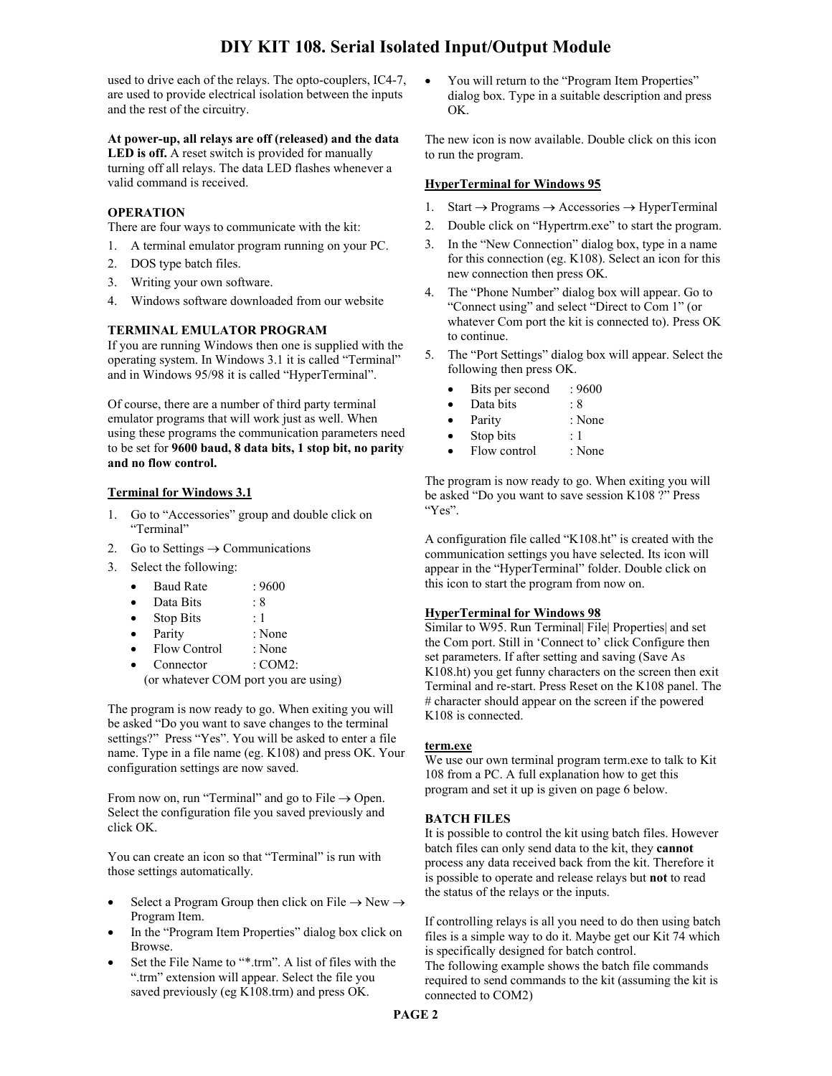used to drive each of the relays. The opto-couplers, IC4-7, are used to provide electrical isolation between the inputs and the rest of the circuitry.

## **At power-up, all relays are off (released) and the data**

**LED is off.** A reset switch is provided for manually turning off all relays. The data LED flashes whenever a valid command is received.

## **OPERATION**

There are four ways to communicate with the kit:

- 1. A terminal emulator program running on your PC.
- 2. DOS type batch files.
- 3. Writing your own software.
- 4. Windows software downloaded from our website

## **TERMINAL EMULATOR PROGRAM**

If you are running Windows then one is supplied with the operating system. In Windows 3.1 it is called "Terminal" and in Windows 95/98 it is called "HyperTerminal".

Of course, there are a number of third party terminal emulator programs that will work just as well. When using these programs the communication parameters need to be set for **9600 baud, 8 data bits, 1 stop bit, no parity and no flow control.**

#### **Terminal for Windows 3.1**

- 1. Go to "Accessories" group and double click on "Terminal"
- 2. Go to Settings  $\rightarrow$  Communications
- 3. Select the following:
	- Baud Rate : 9600
	- Data Bits : 8
	- Stop Bits : 1
	- Parity : None
	- Flow Control : None
	- Connector : COM2:
	- (or whatever COM port you are using)

The program is now ready to go. When exiting you will be asked "Do you want to save changes to the terminal settings?" Press "Yes". You will be asked to enter a file name. Type in a file name (eg. K108) and press OK. Your configuration settings are now saved.

From now on, run "Terminal" and go to File  $\rightarrow$  Open. Select the configuration file you saved previously and click OK.

You can create an icon so that "Terminal" is run with those settings automatically.

- Select a Program Group then click on File  $\rightarrow$  New  $\rightarrow$ Program Item.
- In the "Program Item Properties" dialog box click on Browse.
- Set the File Name to "\*.trm". A list of files with the ".trm" extension will appear. Select the file you saved previously (eg K108.trm) and press OK.

• You will return to the "Program Item Properties" dialog box. Type in a suitable description and press OK.

The new icon is now available. Double click on this icon to run the program.

## **HyperTerminal for Windows 95**

- 1. Start  $\rightarrow$  Programs  $\rightarrow$  Accessories  $\rightarrow$  HyperTerminal
- 2. Double click on "Hypertrm.exe" to start the program.
- 3. In the "New Connection" dialog box, type in a name for this connection (eg. K108). Select an icon for this new connection then press OK.
- 4. The "Phone Number" dialog box will appear. Go to "Connect using" and select "Direct to Com 1" (or whatever Com port the kit is connected to). Press OK to continue.
- 5. The "Port Settings" dialog box will appear. Select the following then press OK.
	- Bits per second : 9600
	- Data bits : 8
	- Parity : None
	- Stop bits : 1
	- Flow control : None

The program is now ready to go. When exiting you will be asked "Do you want to save session K108 ?" Press "Yes".

A configuration file called "K108.ht" is created with the communication settings you have selected. Its icon will appear in the "HyperTerminal" folder. Double click on this icon to start the program from now on.

#### **HyperTerminal for Windows 98**

Similar to W95. Run Terminal| File| Properties| and set the Com port. Still in 'Connect to' click Configure then set parameters. If after setting and saving (Save As K108.ht) you get funny characters on the screen then exit Terminal and re-start. Press Reset on the K108 panel. The # character should appear on the screen if the powered K108 is connected.

#### **term.exe**

We use our own terminal program term.exe to talk to Kit 108 from a PC. A full explanation how to get this program and set it up is given on page 6 below.

## **BATCH FILES**

It is possible to control the kit using batch files. However batch files can only send data to the kit, they **cannot** process any data received back from the kit. Therefore it is possible to operate and release relays but **not** to read the status of the relays or the inputs.

If controlling relays is all you need to do then using batch files is a simple way to do it. Maybe get our Kit 74 which is specifically designed for batch control. The following example shows the batch file commands required to send commands to the kit (assuming the kit is connected to COM2)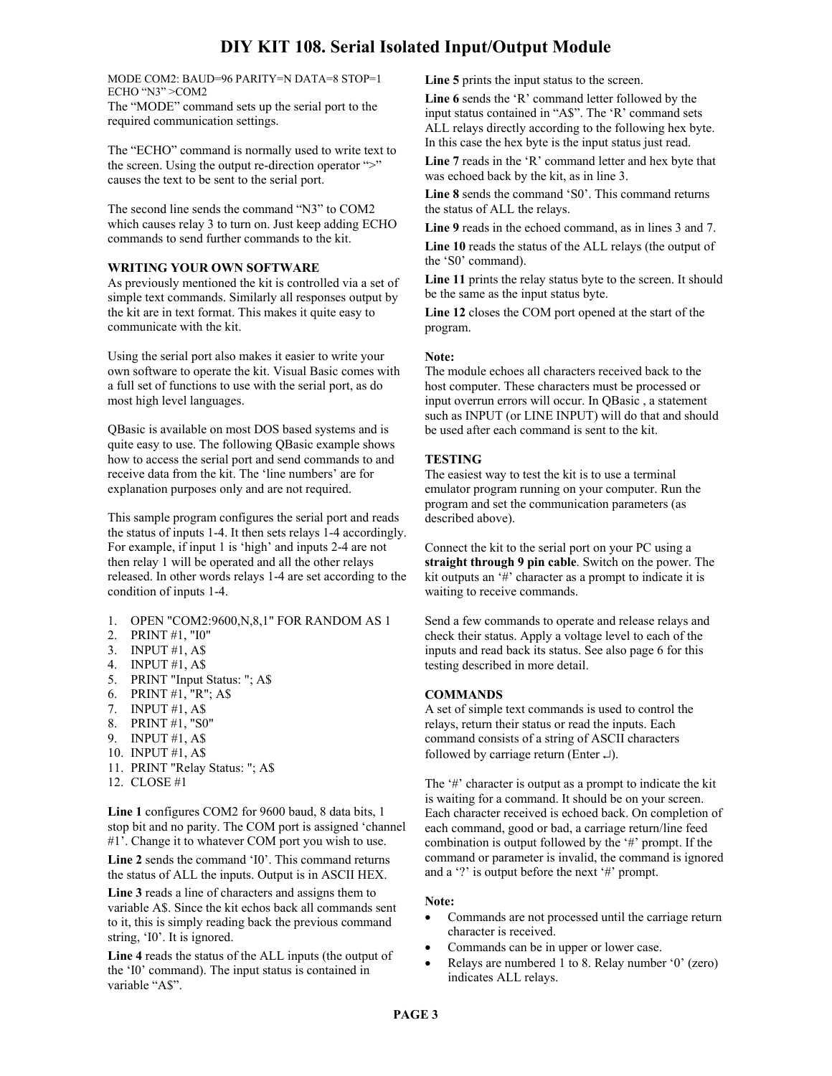MODE COM2: BAUD=96 PARITY=N DATA=8 STOP=1 ECHO "N3" >COM2 The "MODE" command sets up the serial port to the required communication settings.

The "ECHO" command is normally used to write text to the screen. Using the output re-direction operator ">" causes the text to be sent to the serial port.

The second line sends the command "N3" to COM2 which causes relay 3 to turn on. Just keep adding ECHO commands to send further commands to the kit.

#### **WRITING YOUR OWN SOFTWARE**

As previously mentioned the kit is controlled via a set of simple text commands. Similarly all responses output by the kit are in text format. This makes it quite easy to communicate with the kit.

Using the serial port also makes it easier to write your own software to operate the kit. Visual Basic comes with a full set of functions to use with the serial port, as do most high level languages.

QBasic is available on most DOS based systems and is quite easy to use. The following QBasic example shows how to access the serial port and send commands to and receive data from the kit. The 'line numbers' are for explanation purposes only and are not required.

This sample program configures the serial port and reads the status of inputs 1-4. It then sets relays 1-4 accordingly. For example, if input 1 is 'high' and inputs 2-4 are not then relay 1 will be operated and all the other relays released. In other words relays 1-4 are set according to the condition of inputs 1-4.

- 1. OPEN "COM2:9600,N,8,1" FOR RANDOM AS 1
- 2. PRINT #1, "I0"
- 3. INPUT #1, A\$
- 4. INPUT #1, A\$
- 5. PRINT "Input Status: "; A\$
- 6. PRINT #1,  $"R"$ ; A\$
- 7. INPUT #1, A\$
- 8. PRINT #1, "S0"
- 9. INPUT #1, A\$
- 10. INPUT #1, A\$
- 
- 11. PRINT "Relay Status: "; A\$
- 12. CLOSE #1

**Line 1** configures COM2 for 9600 baud, 8 data bits, 1 stop bit and no parity. The COM port is assigned 'channel #1'. Change it to whatever COM port you wish to use.

**Line 2** sends the command 'I0'. This command returns the status of ALL the inputs. Output is in ASCII HEX.

**Line 3** reads a line of characters and assigns them to variable A\$. Since the kit echos back all commands sent to it, this is simply reading back the previous command string, 'I0'. It is ignored.

**Line 4** reads the status of the ALL inputs (the output of the 'I0' command). The input status is contained in variable "A\$".

**Line 5** prints the input status to the screen.

**Line 6** sends the 'R' command letter followed by the input status contained in "A\$". The 'R' command sets ALL relays directly according to the following hex byte. In this case the hex byte is the input status just read.

**Line 7** reads in the 'R' command letter and hex byte that was echoed back by the kit, as in line 3.

**Line 8** sends the command 'S0'. This command returns the status of ALL the relays.

**Line 9** reads in the echoed command, as in lines 3 and 7.

**Line 10** reads the status of the ALL relays (the output of the 'S0' command).

**Line 11** prints the relay status byte to the screen. It should be the same as the input status byte.

**Line 12** closes the COM port opened at the start of the program.

#### **Note:**

The module echoes all characters received back to the host computer. These characters must be processed or input overrun errors will occur. In QBasic , a statement such as INPUT (or LINE INPUT) will do that and should be used after each command is sent to the kit.

#### **TESTING**

The easiest way to test the kit is to use a terminal emulator program running on your computer. Run the program and set the communication parameters (as described above).

Connect the kit to the serial port on your PC using a **straight through 9 pin cable**. Switch on the power. The kit outputs an '#' character as a prompt to indicate it is waiting to receive commands.

Send a few commands to operate and release relays and check their status. Apply a voltage level to each of the inputs and read back its status. See also page 6 for this testing described in more detail.

#### **COMMANDS**

A set of simple text commands is used to control the relays, return their status or read the inputs. Each command consists of a string of ASCII characters followed by carriage return (Enter  $\downarrow$ ).

The '#' character is output as a prompt to indicate the kit is waiting for a command. It should be on your screen. Each character received is echoed back. On completion of each command, good or bad, a carriage return/line feed combination is output followed by the '#' prompt. If the command or parameter is invalid, the command is ignored and a '?' is output before the next '#' prompt.

#### **Note:**

- Commands are not processed until the carriage return character is received.
- Commands can be in upper or lower case.
- Relays are numbered 1 to 8. Relay number '0' (zero) indicates ALL relays.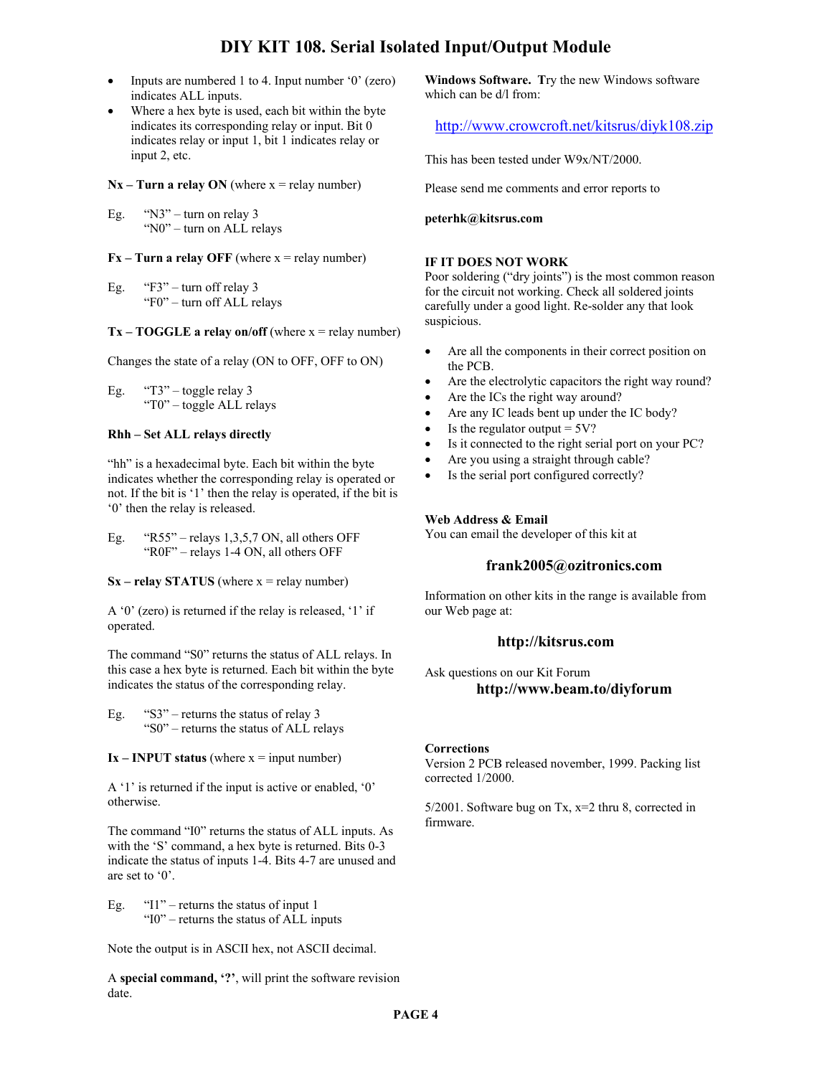- Inputs are numbered 1 to 4. Input number '0' (zero) indicates ALL inputs.
- Where a hex byte is used, each bit within the byte indicates its corresponding relay or input. Bit 0 indicates relay or input 1, bit 1 indicates relay or input 2, etc.

 $Nx - Turn$  a relay ON (where  $x = relay$  number)

Eg. "N3" – turn on relay 3 "N0" – turn on ALL relays

 $Fx - Turn a relay OFF (where  $x = relay$  number)$ 

Eg.  $\text{``F3''}$  – turn off relay 3 "F0" – turn off ALL relays

 $Tx - TOGGLE$  a relay on/off (where  $x =$  relay number)

Changes the state of a relay (ON to OFF, OFF to ON)

Eg.  $"T3"$  – toggle relay 3 "T0" – toggle ALL relays

#### **Rhh – Set ALL relays directly**

"hh" is a hexadecimal byte. Each bit within the byte indicates whether the corresponding relay is operated or not. If the bit is '1' then the relay is operated, if the bit is '0' then the relay is released.

Eg.  $\text{``R55''}$  – relays 1,3,5,7 ON, all others OFF "R0F" – relays 1-4 ON, all others OFF

 $Sx -$ **relay STATUS** (where  $x =$ **relay number)** 

A '0' (zero) is returned if the relay is released, '1' if operated.

The command "S0" returns the status of ALL relays. In this case a hex byte is returned. Each bit within the byte indicates the status of the corresponding relay.

Eg. "S3" – returns the status of relay 3 "S0" – returns the status of ALL relays

 $Ix - INPUT status$  (where  $x = input number$ )

A '1' is returned if the input is active or enabled, '0' otherwise.

The command "I0" returns the status of ALL inputs. As with the 'S' command, a hex byte is returned. Bits 0-3 indicate the status of inputs 1-4. Bits 4-7 are unused and are set to '0'.

Eg.  $"1"$  – returns the status of input 1 "I0" – returns the status of ALL inputs

Note the output is in ASCII hex, not ASCII decimal.

A **special command, '?'**, will print the software revision date.

**Windows Software. T**ry the new Windows software which can be d/l from:

http://www.crowcroft.net/kitsrus/diyk108.zip

This has been tested under W9x/NT/2000.

Please send me comments and error reports to

#### **peterhk@kitsrus.com**

#### **IF IT DOES NOT WORK**

Poor soldering ("dry joints") is the most common reason for the circuit not working. Check all soldered joints carefully under a good light. Re-solder any that look suspicious.

- Are all the components in their correct position on the PCB.
- Are the electrolytic capacitors the right way round?
- Are the ICs the right way around?
- Are any IC leads bent up under the IC body?
- Is the regulator output  $= 5V$ ?
- Is it connected to the right serial port on your PC?
- Are you using a straight through cable?
- Is the serial port configured correctly?

#### **Web Address & Email**

You can email the developer of this kit at

#### **frank2005@ozitronics.com**

Information on other kits in the range is available from our Web page at:

## **http://kitsrus.com**

Ask questions on our Kit Forum **http://www.beam.to/diyforum** 

#### **Corrections**

Version 2 PCB released november, 1999. Packing list corrected 1/2000.

5/2001. Software bug on Tx, x=2 thru 8, corrected in firmware.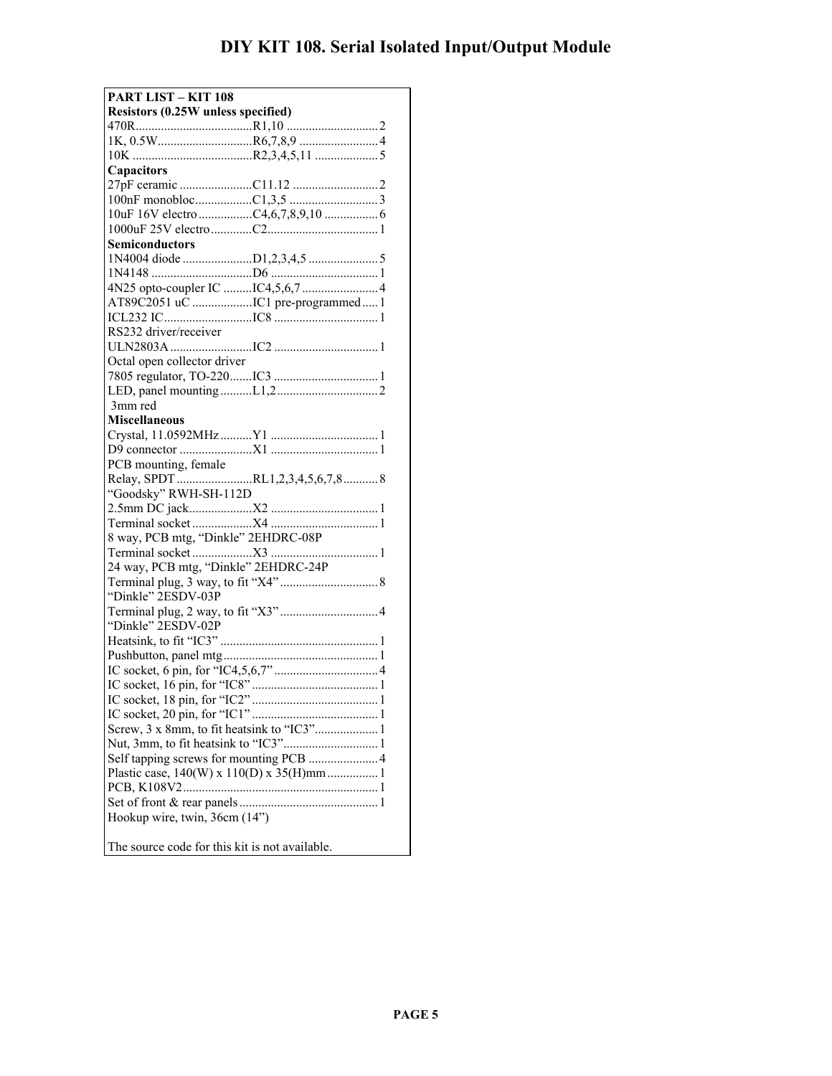| <b>PART LIST - KIT 108</b>                     |  |  |
|------------------------------------------------|--|--|
| Resistors (0.25W unless specified)             |  |  |
|                                                |  |  |
|                                                |  |  |
|                                                |  |  |
| <b>Capacitors</b>                              |  |  |
|                                                |  |  |
|                                                |  |  |
|                                                |  |  |
|                                                |  |  |
| Semiconductors                                 |  |  |
|                                                |  |  |
|                                                |  |  |
|                                                |  |  |
|                                                |  |  |
|                                                |  |  |
| RS232 driver/receiver                          |  |  |
|                                                |  |  |
| Octal open collector driver                    |  |  |
|                                                |  |  |
|                                                |  |  |
| 3mm red                                        |  |  |
| <b>Miscellaneous</b>                           |  |  |
|                                                |  |  |
|                                                |  |  |
| PCB mounting, female                           |  |  |
|                                                |  |  |
| "Goodsky" RWH-SH-112D                          |  |  |
|                                                |  |  |
|                                                |  |  |
| 8 way, PCB mtg, "Dinkle" 2EHDRC-08P            |  |  |
|                                                |  |  |
| 24 way, PCB mtg, "Dinkle" 2EHDRC-24P           |  |  |
|                                                |  |  |
| "Dinkle" 2ESDV-03P                             |  |  |
|                                                |  |  |
| "Dinkle" 2ESDV-02P                             |  |  |
|                                                |  |  |
|                                                |  |  |
|                                                |  |  |
|                                                |  |  |
|                                                |  |  |
|                                                |  |  |
|                                                |  |  |
|                                                |  |  |
| Self tapping screws for mounting PCB  4        |  |  |
|                                                |  |  |
|                                                |  |  |
|                                                |  |  |
| Hookup wire, twin, 36cm (14")                  |  |  |
|                                                |  |  |
| The source code for this kit is not available. |  |  |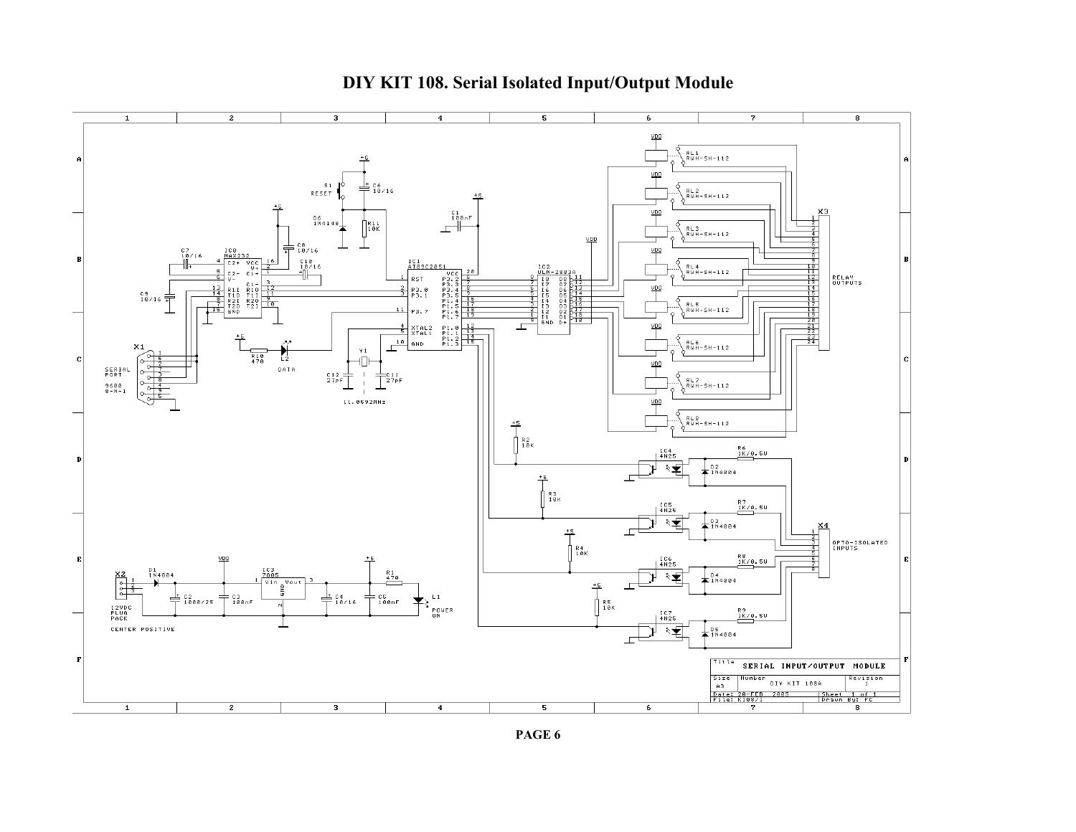

**PAGE 6**